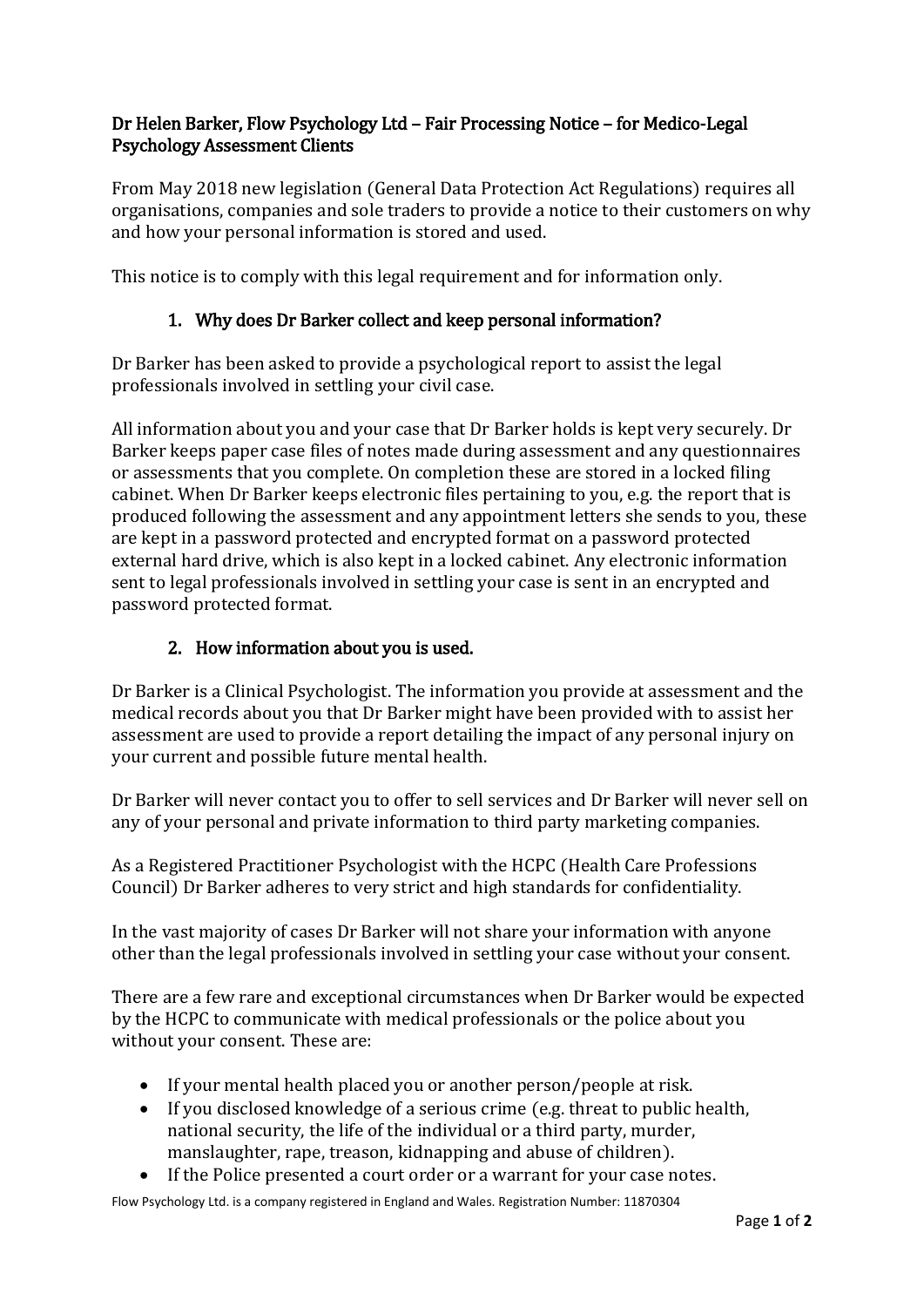# Dr Helen Barker, Flow Psychology Ltd – Fair Processing Notice – for Medico-Legal Psychology Assessment Clients

From May 2018 new legislation (General Data Protection Act Regulations) requires all organisations, companies and sole traders to provide a notice to their customers on why and how your personal information is stored and used.

This notice is to comply with this legal requirement and for information only.

# 1. Why does Dr Barker collect and keep personal information?

Dr Barker has been asked to provide a psychological report to assist the legal professionals involved in settling your civil case.

All information about you and your case that Dr Barker holds is kept very securely. Dr Barker keeps paper case files of notes made during assessment and any questionnaires or assessments that you complete. On completion these are stored in a locked filing cabinet. When Dr Barker keeps electronic files pertaining to you, e.g. the report that is produced following the assessment and any appointment letters she sends to you, these are kept in a password protected and encrypted format on a password protected external hard drive, which is also kept in a locked cabinet. Any electronic information sent to legal professionals involved in settling your case is sent in an encrypted and password protected format.

### 2. How information about you is used.

Dr Barker is a Clinical Psychologist. The information you provide at assessment and the medical records about you that Dr Barker might have been provided with to assist her assessment are used to provide a report detailing the impact of any personal injury on your current and possible future mental health.

Dr Barker will never contact you to offer to sell services and Dr Barker will never sell on any of your personal and private information to third party marketing companies.

As a Registered Practitioner Psychologist with the HCPC (Health Care Professions Council) Dr Barker adheres to very strict and high standards for confidentiality.

In the vast majority of cases Dr Barker will not share your information with anyone other than the legal professionals involved in settling your case without your consent.

There are a few rare and exceptional circumstances when Dr Barker would be expected by the HCPC to communicate with medical professionals or the police about you without your consent. These are:

- If your mental health placed you or another person/people at risk.
- If you disclosed knowledge of a serious crime (e.g. threat to public health, national security, the life of the individual or a third party, murder, manslaughter, rape, treason, kidnapping and abuse of children).
- If the Police presented a court order or a warrant for your case notes.

Flow Psychology Ltd. is a company registered in England and Wales. Registration Number: 11870304